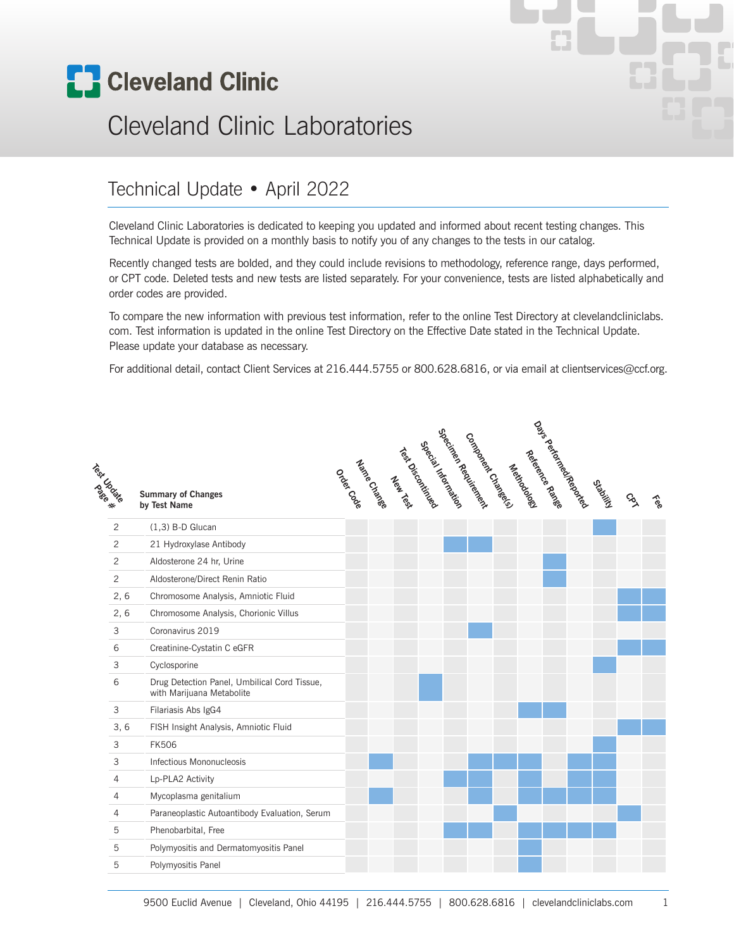

# Cleveland Clinic Laboratories

#### Technical Update • April 2022

Cleveland Clinic Laboratories is dedicated to keeping you updated and informed about recent testing changes. This Technical Update is provided on a monthly basis to notify you of any changes to the tests in our catalog.

Recently changed tests are bolded, and they could include revisions to methodology, reference range, days performed, or CPT code. Deleted tests and new tests are listed separately. For your convenience, tests are listed alphabetically and order codes are provided.

To compare the new information with previous test information, refer to the online Test Directory at clevelandcliniclabs. com. Test information is updated in the online Test Directory on the Effective Date stated in the Technical Update. Please update your database as necessary.

For additional detail, contact Client Services at 216.444.5755 or 800.628.6816, or via email at clientservices@ccf.org.

| Test Cristo |                | <b>Summary of Changes</b><br>by Test Name                                 |  |  |  | cypcinter Registration<br>Company Changels | Mexicodos | Oals- Refunds Ranke | OSIMUSI | $\mathcal{S}_{\lambda}$ | tee |
|-------------|----------------|---------------------------------------------------------------------------|--|--|--|--------------------------------------------|-----------|---------------------|---------|-------------------------|-----|
|             | 2              | $(1,3)$ B-D Glucan                                                        |  |  |  |                                            |           |                     |         |                         |     |
|             | $\overline{c}$ | 21 Hydroxylase Antibody                                                   |  |  |  |                                            |           |                     |         |                         |     |
|             | $\overline{c}$ | Aldosterone 24 hr, Urine                                                  |  |  |  |                                            |           |                     |         |                         |     |
|             | $\overline{c}$ | Aldosterone/Direct Renin Ratio                                            |  |  |  |                                            |           |                     |         |                         |     |
|             | 2, 6           | Chromosome Analysis, Amniotic Fluid                                       |  |  |  |                                            |           |                     |         |                         |     |
|             | 2, 6           | Chromosome Analysis, Chorionic Villus                                     |  |  |  |                                            |           |                     |         |                         |     |
|             | 3              | Coronavirus 2019                                                          |  |  |  |                                            |           |                     |         |                         |     |
| 6           |                | Creatinine-Cystatin C eGFR                                                |  |  |  |                                            |           |                     |         |                         |     |
|             | 3              | Cyclosporine                                                              |  |  |  |                                            |           |                     |         |                         |     |
| 6           |                | Drug Detection Panel, Umbilical Cord Tissue,<br>with Marijuana Metabolite |  |  |  |                                            |           |                     |         |                         |     |
|             | 3              | Filariasis Abs IgG4                                                       |  |  |  |                                            |           |                     |         |                         |     |
|             | 3, 6           | FISH Insight Analysis, Amniotic Fluid                                     |  |  |  |                                            |           |                     |         |                         |     |
|             | 3              | <b>FK506</b>                                                              |  |  |  |                                            |           |                     |         |                         |     |
|             | 3              | Infectious Mononucleosis                                                  |  |  |  |                                            |           |                     |         |                         |     |
|             | $\overline{4}$ | Lp-PLA2 Activity                                                          |  |  |  |                                            |           |                     |         |                         |     |
|             | 4              | Mycoplasma genitalium                                                     |  |  |  |                                            |           |                     |         |                         |     |
|             | $\overline{4}$ | Paraneoplastic Autoantibody Evaluation, Serum                             |  |  |  |                                            |           |                     |         |                         |     |
|             | 5              | Phenobarbital, Free                                                       |  |  |  |                                            |           |                     |         |                         |     |
|             | 5              | Polymyositis and Dermatomyositis Panel                                    |  |  |  |                                            |           |                     |         |                         |     |
|             | 5              | Polymyositis Panel                                                        |  |  |  |                                            |           |                     |         |                         |     |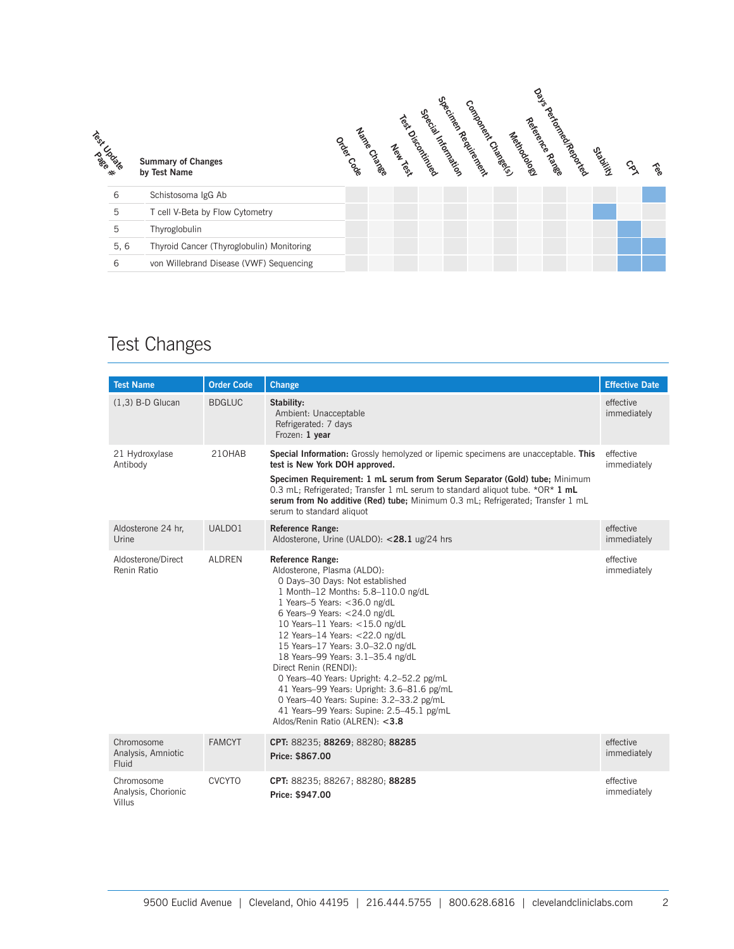

#### Test Changes

| <b>Test Name</b>                            | <b>Order Code</b> | Change                                                                                                                                                                                                                                                                                                                                                                                                                                                                                                                                                                                            | <b>Effective Date</b>    |
|---------------------------------------------|-------------------|---------------------------------------------------------------------------------------------------------------------------------------------------------------------------------------------------------------------------------------------------------------------------------------------------------------------------------------------------------------------------------------------------------------------------------------------------------------------------------------------------------------------------------------------------------------------------------------------------|--------------------------|
| $(1,3)$ B-D Glucan                          | <b>BDGLUC</b>     | Stability:<br>Ambient: Unacceptable<br>Refrigerated: 7 days<br>Frozen: 1 year                                                                                                                                                                                                                                                                                                                                                                                                                                                                                                                     | effective<br>immediately |
| 21 Hydroxylase<br>Antibody                  | 210HAB            | Special Information: Grossly hemolyzed or lipemic specimens are unacceptable. This<br>test is New York DOH approved.<br>Specimen Requirement: 1 mL serum from Serum Separator (Gold) tube; Minimum<br>0.3 mL; Refrigerated; Transfer 1 mL serum to standard aliquot tube. * $OR*$ 1 mL<br>serum from No additive (Red) tube; Minimum 0.3 mL; Refrigerated; Transfer 1 mL<br>serum to standard aliquot                                                                                                                                                                                             | effective<br>immediately |
| Aldosterone 24 hr,<br>Urine                 | UALDO1            | <b>Reference Range:</b><br>Aldosterone, Urine (UALDO): <28.1 ug/24 hrs                                                                                                                                                                                                                                                                                                                                                                                                                                                                                                                            | effective<br>immediately |
| Aldosterone/Direct<br>Renin Ratio           | <b>ALDREN</b>     | <b>Reference Range:</b><br>Aldosterone, Plasma (ALDO):<br>0 Days-30 Days: Not established<br>1 Month-12 Months: 5.8-110.0 ng/dL<br>1 Years-5 Years: < 36.0 ng/dL<br>6 Years-9 Years: <24.0 ng/dL<br>10 Years-11 Years: $<$ 15.0 ng/dL<br>12 Years-14 Years: <22.0 ng/dL<br>15 Years-17 Years: 3.0-32.0 ng/dL<br>18 Years-99 Years: 3.1-35.4 ng/dL<br>Direct Renin (RENDI):<br>0 Years-40 Years: Upright: 4.2-52.2 pg/mL<br>41 Years-99 Years: Upright: 3.6-81.6 pg/mL<br>0 Years-40 Years: Supine: 3.2-33.2 pg/mL<br>41 Years-99 Years: Supine: 2.5-45.1 pg/mL<br>Aldos/Renin Ratio (ALREN): <3.8 | effective<br>immediately |
| Chromosome<br>Analysis, Amniotic<br>Fluid   | <b>FAMCYT</b>     | CPT: 88235; 88269; 88280; 88285<br>Price: \$867.00                                                                                                                                                                                                                                                                                                                                                                                                                                                                                                                                                | effective<br>immediately |
| Chromosome<br>Analysis, Chorionic<br>Villus | <b>CVCYTO</b>     | CPT: 88235; 88267; 88280; 88285<br>Price: \$947.00                                                                                                                                                                                                                                                                                                                                                                                                                                                                                                                                                | effective<br>immediately |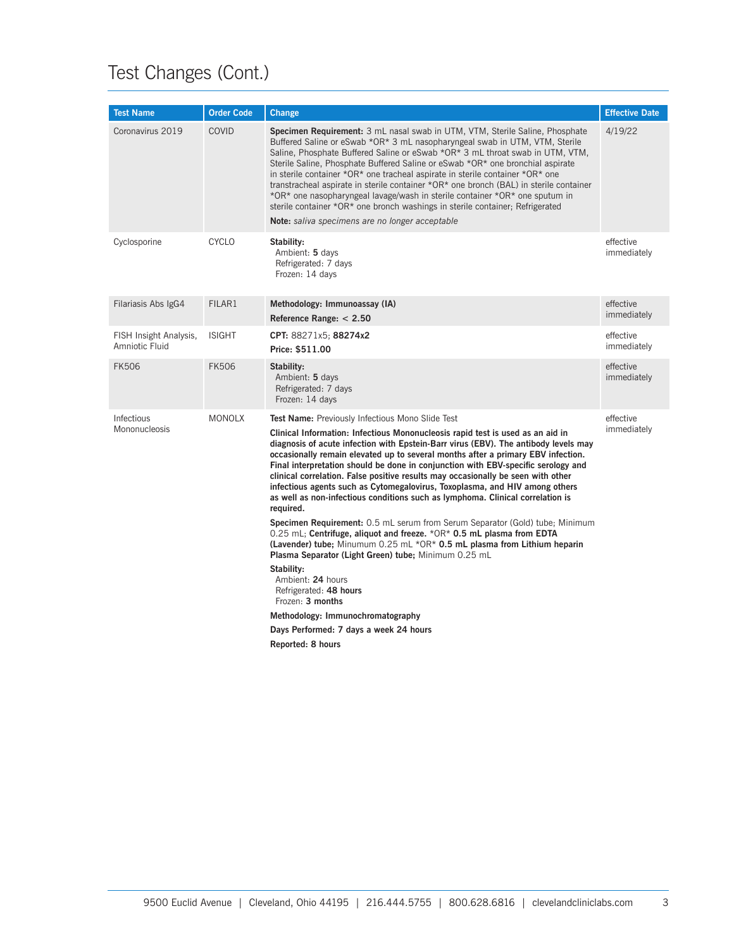## Test Changes (Cont.)

| <b>Test Name</b>                         | <b>Order Code</b> | Change                                                                                                                                                                                                                                                                                                                                                                                                                                                                                                                                                                                                                                                                                                                                                                                                                                                                                                                                                                                                                                                                                                                                                      | <b>Effective Date</b>    |
|------------------------------------------|-------------------|-------------------------------------------------------------------------------------------------------------------------------------------------------------------------------------------------------------------------------------------------------------------------------------------------------------------------------------------------------------------------------------------------------------------------------------------------------------------------------------------------------------------------------------------------------------------------------------------------------------------------------------------------------------------------------------------------------------------------------------------------------------------------------------------------------------------------------------------------------------------------------------------------------------------------------------------------------------------------------------------------------------------------------------------------------------------------------------------------------------------------------------------------------------|--------------------------|
| Coronavirus 2019                         | COVID             | Specimen Requirement: 3 mL nasal swab in UTM, VTM, Sterile Saline, Phosphate<br>Buffered Saline or eSwab *OR* 3 mL nasopharyngeal swab in UTM, VTM, Sterile<br>Saline, Phosphate Buffered Saline or eSwab *OR* 3 mL throat swab in UTM, VTM,<br>Sterile Saline, Phosphate Buffered Saline or eSwab *OR* one bronchial aspirate<br>in sterile container *OR* one tracheal aspirate in sterile container *OR* one<br>transtracheal aspirate in sterile container *OR* one bronch (BAL) in sterile container<br>*OR* one nasopharyngeal lavage/wash in sterile container *OR* one sputum in<br>sterile container *OR* one bronch washings in sterile container; Refrigerated<br>Note: saliva specimens are no longer acceptable                                                                                                                                                                                                                                                                                                                                                                                                                                | 4/19/22                  |
| Cyclosporine                             | <b>CYCLO</b>      | Stability:<br>Ambient: 5 days<br>Refrigerated: 7 days<br>Frozen: 14 days                                                                                                                                                                                                                                                                                                                                                                                                                                                                                                                                                                                                                                                                                                                                                                                                                                                                                                                                                                                                                                                                                    | effective<br>immediately |
| Filariasis Abs IgG4                      | FILAR1            | Methodology: Immunoassay (IA)<br>Reference Range: $< 2.50$                                                                                                                                                                                                                                                                                                                                                                                                                                                                                                                                                                                                                                                                                                                                                                                                                                                                                                                                                                                                                                                                                                  | effective<br>immediately |
| FISH Insight Analysis,<br>Amniotic Fluid | <b>ISIGHT</b>     | CPT: 88271x5; 88274x2<br>Price: \$511.00                                                                                                                                                                                                                                                                                                                                                                                                                                                                                                                                                                                                                                                                                                                                                                                                                                                                                                                                                                                                                                                                                                                    | effective<br>immediately |
| <b>FK506</b>                             | <b>FK506</b>      | Stability:<br>Ambient: 5 days<br>Refrigerated: 7 days<br>Frozen: 14 days                                                                                                                                                                                                                                                                                                                                                                                                                                                                                                                                                                                                                                                                                                                                                                                                                                                                                                                                                                                                                                                                                    | effective<br>immediately |
| Infectious<br>Mononucleosis              | <b>MONOLX</b>     | Test Name: Previously Infectious Mono Slide Test<br>Clinical Information: Infectious Mononucleosis rapid test is used as an aid in<br>diagnosis of acute infection with Epstein-Barr virus (EBV). The antibody levels may<br>occasionally remain elevated up to several months after a primary EBV infection.<br>Final interpretation should be done in conjunction with EBV-specific serology and<br>clinical correlation. False positive results may occasionally be seen with other<br>infectious agents such as Cytomegalovirus, Toxoplasma, and HIV among others<br>as well as non-infectious conditions such as lymphoma. Clinical correlation is<br>required.<br>Specimen Requirement: 0.5 mL serum from Serum Separator (Gold) tube; Minimum<br>0.25 mL; Centrifuge, aliquot and freeze. * OR* 0.5 mL plasma from EDTA<br>(Lavender) tube; Minumum $0.25$ mL $*OR*$ 0.5 mL plasma from Lithium heparin<br>Plasma Separator (Light Green) tube; Minimum 0.25 mL<br>Stability:<br>Ambient: 24 hours<br>Refrigerated: 48 hours<br>Frozen: 3 months<br>Methodology: Immunochromatography<br>Days Performed: 7 days a week 24 hours<br>Reported: 8 hours | effective<br>immediately |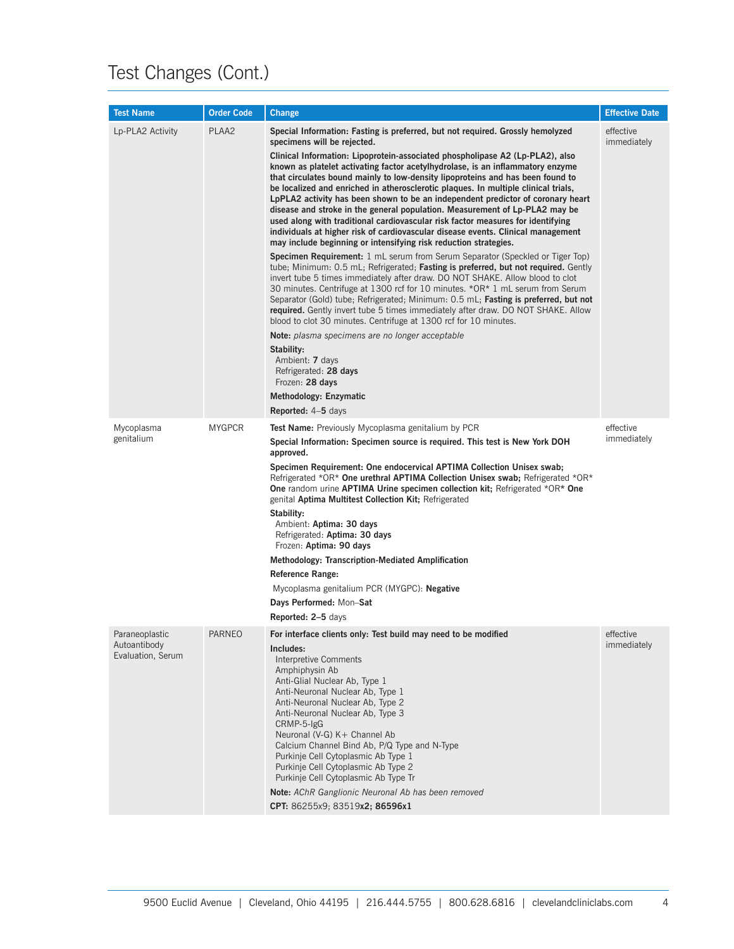## Test Changes (Cont.)

| <b>Test Name</b>                                    | <b>Order Code</b> | <b>Change</b>                                                                                                                                                                                                                                                                                                                                                                                                                                                                                                                                                                                                                                                                                                                                                                                                                                                                                                                                                                                                                                                                                                                                                                                                                                                                                                                                                                                                                                                                                                                                                                                                                                                | <b>Effective Date</b>    |
|-----------------------------------------------------|-------------------|--------------------------------------------------------------------------------------------------------------------------------------------------------------------------------------------------------------------------------------------------------------------------------------------------------------------------------------------------------------------------------------------------------------------------------------------------------------------------------------------------------------------------------------------------------------------------------------------------------------------------------------------------------------------------------------------------------------------------------------------------------------------------------------------------------------------------------------------------------------------------------------------------------------------------------------------------------------------------------------------------------------------------------------------------------------------------------------------------------------------------------------------------------------------------------------------------------------------------------------------------------------------------------------------------------------------------------------------------------------------------------------------------------------------------------------------------------------------------------------------------------------------------------------------------------------------------------------------------------------------------------------------------------------|--------------------------|
| Lp-PLA2 Activity                                    | PLAA2             | Special Information: Fasting is preferred, but not required. Grossly hemolyzed<br>specimens will be rejected.<br>Clinical Information: Lipoprotein-associated phospholipase A2 (Lp-PLA2), also<br>known as platelet activating factor acetylhydrolase, is an inflammatory enzyme<br>that circulates bound mainly to low-density lipoproteins and has been found to<br>be localized and enriched in atherosclerotic plaques. In multiple clinical trials,<br>LpPLA2 activity has been shown to be an independent predictor of coronary heart<br>disease and stroke in the general population. Measurement of Lp-PLA2 may be<br>used along with traditional cardiovascular risk factor measures for identifying<br>individuals at higher risk of cardiovascular disease events. Clinical management<br>may include beginning or intensifying risk reduction strategies.<br><b>Specimen Requirement:</b> 1 mL serum from Serum Separator (Speckled or Tiger Top)<br>tube; Minimum: 0.5 mL; Refrigerated; Fasting is preferred, but not required. Gently<br>invert tube 5 times immediately after draw. DO NOT SHAKE. Allow blood to clot<br>30 minutes. Centrifuge at 1300 rcf for 10 minutes. *OR* 1 mL serum from Serum<br>Separator (Gold) tube; Refrigerated; Minimum: 0.5 mL; Fasting is preferred, but not<br>required. Gently invert tube 5 times immediately after draw. DO NOT SHAKE. Allow<br>blood to clot 30 minutes. Centrifuge at 1300 rcf for 10 minutes.<br>Note: plasma specimens are no longer acceptable<br>Stability:<br>Ambient: 7 days<br>Refrigerated: 28 days<br>Frozen: 28 days<br>Methodology: Enzymatic<br><b>Reported:</b> 4–5 days | effective<br>immediately |
| Mycoplasma<br>genitalium                            | <b>MYGPCR</b>     | Test Name: Previously Mycoplasma genitalium by PCR<br>Special Information: Specimen source is required. This test is New York DOH<br>approved.<br>Specimen Requirement: One endocervical APTIMA Collection Unisex swab;<br>Refrigerated *OR* One urethral APTIMA Collection Unisex swab; Refrigerated *OR*<br><b>One</b> random urine <b>APTIMA Urine specimen collection kit</b> ; Refrigerated *OR* One<br>genital Aptima Multitest Collection Kit; Refrigerated<br>Stability:<br>Ambient: Aptima: 30 days<br>Refrigerated: Aptima: 30 days<br>Frozen: Aptima: 90 days<br><b>Methodology: Transcription-Mediated Amplification</b><br><b>Reference Range:</b><br>Mycoplasma genitalium PCR (MYGPC): Negative<br>Days Performed: Mon-Sat<br>Reported: 2-5 days                                                                                                                                                                                                                                                                                                                                                                                                                                                                                                                                                                                                                                                                                                                                                                                                                                                                                              | effective<br>immediately |
| Paraneoplastic<br>Autoantibody<br>Evaluation, Serum | PARNEO            | For interface clients only: Test build may need to be modified<br>Includes:<br><b>Interpretive Comments</b><br>Amphiphysin Ab<br>Anti-Glial Nuclear Ab, Type 1<br>Anti-Neuronal Nuclear Ab, Type 1<br>Anti-Neuronal Nuclear Ab, Type 2<br>Anti-Neuronal Nuclear Ab, Type 3<br>CRMP-5-IgG<br>Neuronal (V-G) K+ Channel Ab<br>Calcium Channel Bind Ab, P/Q Type and N-Type<br>Purkinje Cell Cytoplasmic Ab Type 1<br>Purkinje Cell Cytoplasmic Ab Type 2<br>Purkinje Cell Cytoplasmic Ab Type Tr<br>Note: AChR Ganglionic Neuronal Ab has been removed<br>CPT: 86255x9; 83519x2; 86596x1                                                                                                                                                                                                                                                                                                                                                                                                                                                                                                                                                                                                                                                                                                                                                                                                                                                                                                                                                                                                                                                                       | effective<br>immediately |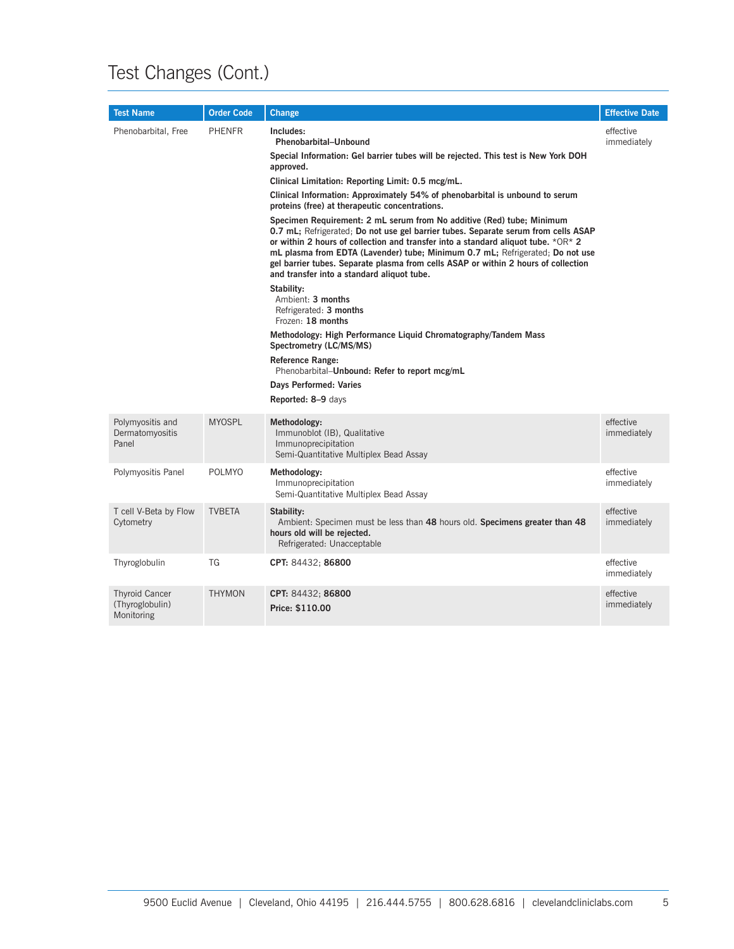## Test Changes (Cont.)

| <b>Test Name</b>                                       | <b>Order Code</b> | <b>Change</b>                                                                                                                                                                                                                                                                                                                                                                                                                                                                                                                                                                                                                                                                                                                                                                                                                                                                                                                                                                                                                                                                                                            | <b>Effective Date</b>    |
|--------------------------------------------------------|-------------------|--------------------------------------------------------------------------------------------------------------------------------------------------------------------------------------------------------------------------------------------------------------------------------------------------------------------------------------------------------------------------------------------------------------------------------------------------------------------------------------------------------------------------------------------------------------------------------------------------------------------------------------------------------------------------------------------------------------------------------------------------------------------------------------------------------------------------------------------------------------------------------------------------------------------------------------------------------------------------------------------------------------------------------------------------------------------------------------------------------------------------|--------------------------|
| Phenobarbital, Free                                    | <b>PHENFR</b>     | Includes:<br><b>Phenobarbital-Unbound</b><br>Special Information: Gel barrier tubes will be rejected. This test is New York DOH<br>approved.<br>Clinical Limitation: Reporting Limit: 0.5 mcg/mL.<br>Clinical Information: Approximately 54% of phenobarbital is unbound to serum<br>proteins (free) at therapeutic concentrations.<br>Specimen Requirement: 2 mL serum from No additive (Red) tube; Minimum<br>0.7 mL; Refrigerated; Do not use gel barrier tubes. Separate serum from cells ASAP<br>or within 2 hours of collection and transfer into a standard aliquot tube. *OR* 2<br>mL plasma from EDTA (Lavender) tube; Minimum 0.7 mL; Refrigerated; Do not use<br>gel barrier tubes. Separate plasma from cells ASAP or within 2 hours of collection<br>and transfer into a standard aliquot tube.<br>Stability:<br>Ambient: 3 months<br>Refrigerated: 3 months<br>Frozen: 18 months<br>Methodology: High Performance Liquid Chromatography/Tandem Mass<br>Spectrometry (LC/MS/MS)<br><b>Reference Range:</b><br>Phenobarbital-Unbound: Refer to report mcg/mL<br>Days Performed: Varies<br>Reported: 8-9 days | effective<br>immediately |
| Polymyositis and<br>Dermatomyositis<br>Panel           | <b>MYOSPL</b>     | Methodology:<br>Immunoblot (IB), Qualitative<br>Immunoprecipitation<br>Semi-Quantitative Multiplex Bead Assay                                                                                                                                                                                                                                                                                                                                                                                                                                                                                                                                                                                                                                                                                                                                                                                                                                                                                                                                                                                                            | effective<br>immediately |
| Polymyositis Panel                                     | <b>POLMYO</b>     | Methodology:<br>Immunoprecipitation<br>Semi-Quantitative Multiplex Bead Assay                                                                                                                                                                                                                                                                                                                                                                                                                                                                                                                                                                                                                                                                                                                                                                                                                                                                                                                                                                                                                                            | effective<br>immediately |
| T cell V-Beta by Flow<br>Cytometry                     | <b>TVBETA</b>     | Stability:<br>Ambient: Specimen must be less than 48 hours old. Specimens greater than 48<br>hours old will be rejected.<br>Refrigerated: Unacceptable                                                                                                                                                                                                                                                                                                                                                                                                                                                                                                                                                                                                                                                                                                                                                                                                                                                                                                                                                                   | effective<br>immediately |
| Thyroglobulin                                          | TG                | CPT: 84432; 86800                                                                                                                                                                                                                                                                                                                                                                                                                                                                                                                                                                                                                                                                                                                                                                                                                                                                                                                                                                                                                                                                                                        | effective<br>immediately |
| <b>Thyroid Cancer</b><br>(Thyroglobulin)<br>Monitoring | <b>THYMON</b>     | CPT: 84432; 86800<br>Price: \$110.00                                                                                                                                                                                                                                                                                                                                                                                                                                                                                                                                                                                                                                                                                                                                                                                                                                                                                                                                                                                                                                                                                     | effective<br>immediately |